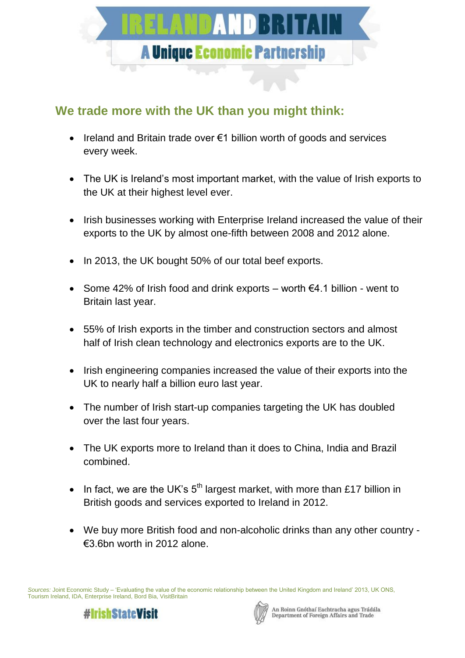

## **We trade more with the UK than you might think:**

- Ireland and Britain trade over €1 billion worth of goods and services every week.
- The UK is Ireland's most important market, with the value of Irish exports to the UK at their highest level ever.
- Irish businesses working with Enterprise Ireland increased the value of their exports to the UK by almost one-fifth between 2008 and 2012 alone.
- In 2013, the UK bought 50% of our total beef exports.
- Some 42% of Irish food and drink exports worth  $\epsilon$ 4.1 billion went to Britain last year.
- 55% of Irish exports in the timber and construction sectors and almost half of Irish clean technology and electronics exports are to the UK.
- Irish engineering companies increased the value of their exports into the UK to nearly half a billion euro last year.
- The number of Irish start-up companies targeting the UK has doubled over the last four years.
- The UK exports more to Ireland than it does to China, India and Brazil combined.
- In fact, we are the UK's  $5<sup>th</sup>$  largest market, with more than £17 billion in British goods and services exported to Ireland in 2012.
- We buy more British food and non-alcoholic drinks than any other country €3.6bn worth in 2012 alone.

*Sources:* Joint Economic Study – 'Evaluating the value of the economic relationship between the United Kingdom and Ireland' 2013, UK ONS, Tourism Ireland, IDA, Enterprise Ireland, Bord Bia, VisitBritain